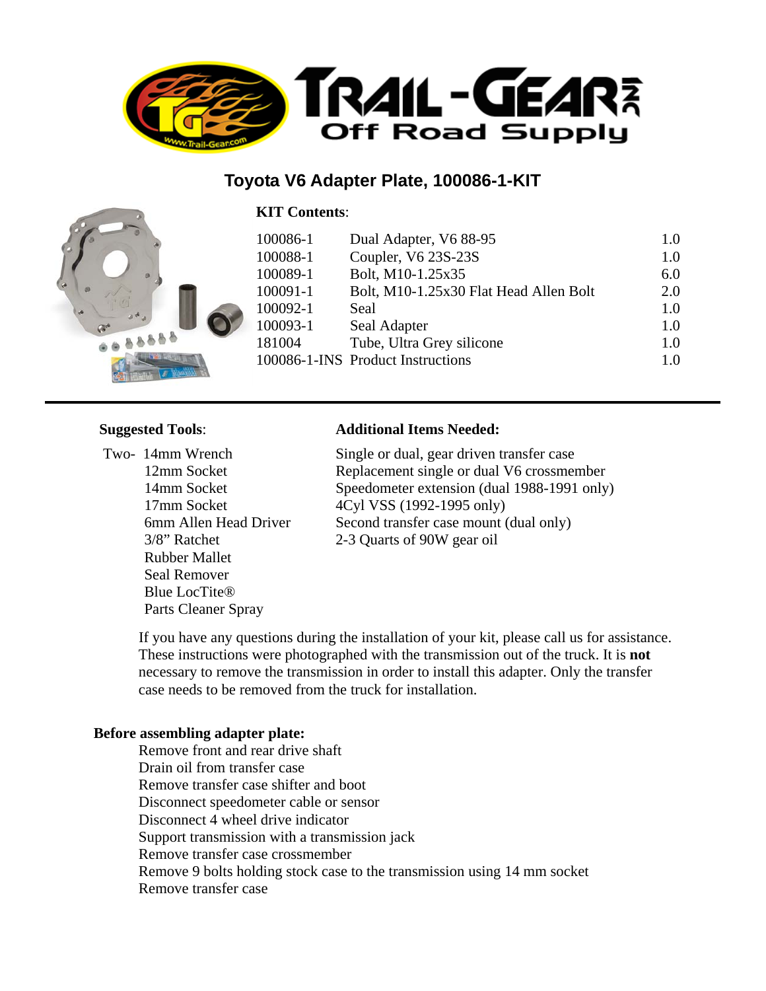

## **Toyota V6 Adapter Plate, 100086-1-KIT**

#### **KIT Contents**:



### **Suggested Tools**:

 Two- 14mm Wrench 12mm Socket 14mm Socket 17mm Socket 6mm Allen Head Driver 3/8" Ratchet Rubber Mallet Seal Remover Blue LocTite® Parts Cleaner Spray

#### **Additional Items Needed:**

Single or dual, gear driven transfer case Replacement single or dual V6 crossmember Speedometer extension (dual 1988-1991 only) 4Cyl VSS (1992-1995 only) Second transfer case mount (dual only) 2-3 Quarts of 90W gear oil

 If you have any questions during the installation of your kit, please call us for assistance. These instructions were photographed with the transmission out of the truck. It is **not** necessary to remove the transmission in order to install this adapter. Only the transfer case needs to be removed from the truck for installation.

#### **Before assembling adapter plate:**

 Remove front and rear drive shaft Drain oil from transfer case Remove transfer case shifter and boot Disconnect speedometer cable or sensor Disconnect 4 wheel drive indicator Support transmission with a transmission jack Remove transfer case crossmember Remove 9 bolts holding stock case to the transmission using 14 mm socket Remove transfer case

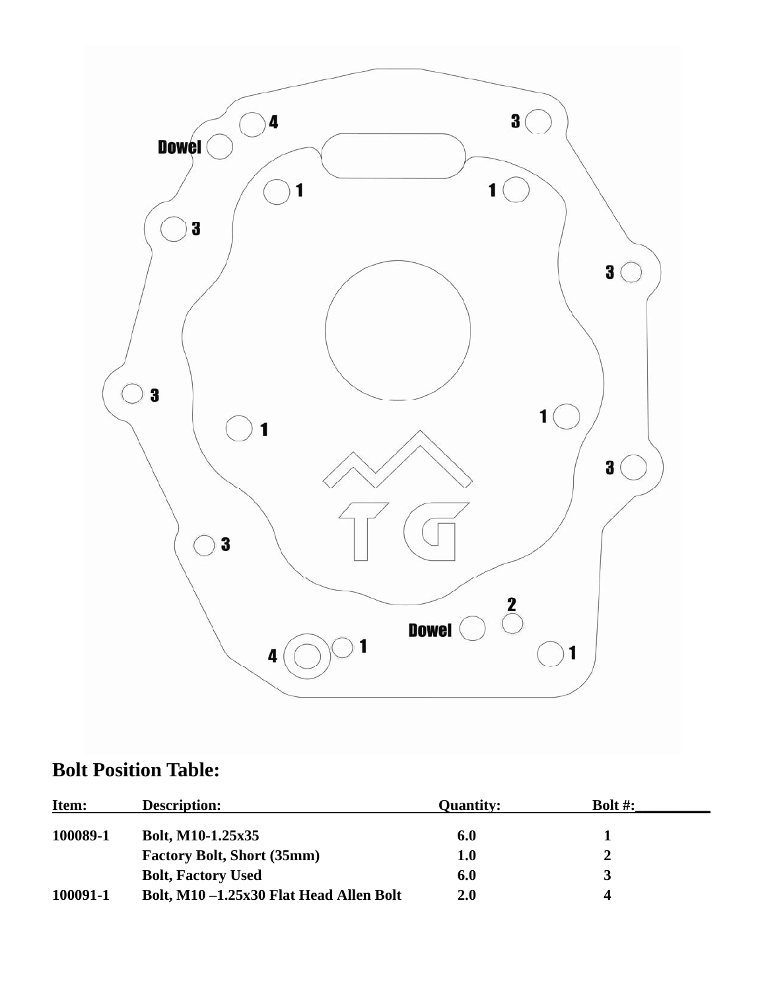

# **Bolt Position Table:**

| Item:    | <b>Description:</b>                    | <b>Quantity:</b> | Bolt $#$ : |  |
|----------|----------------------------------------|------------------|------------|--|
| 100089-1 | Bolt, M10-1.25x35                      | 6.0              |            |  |
|          | <b>Factory Bolt, Short (35mm)</b>      | 1.0              |            |  |
|          | <b>Bolt, Factory Used</b>              | 6.0              |            |  |
| 100091-1 | Bolt, M10-1.25x30 Flat Head Allen Bolt | 2.0              |            |  |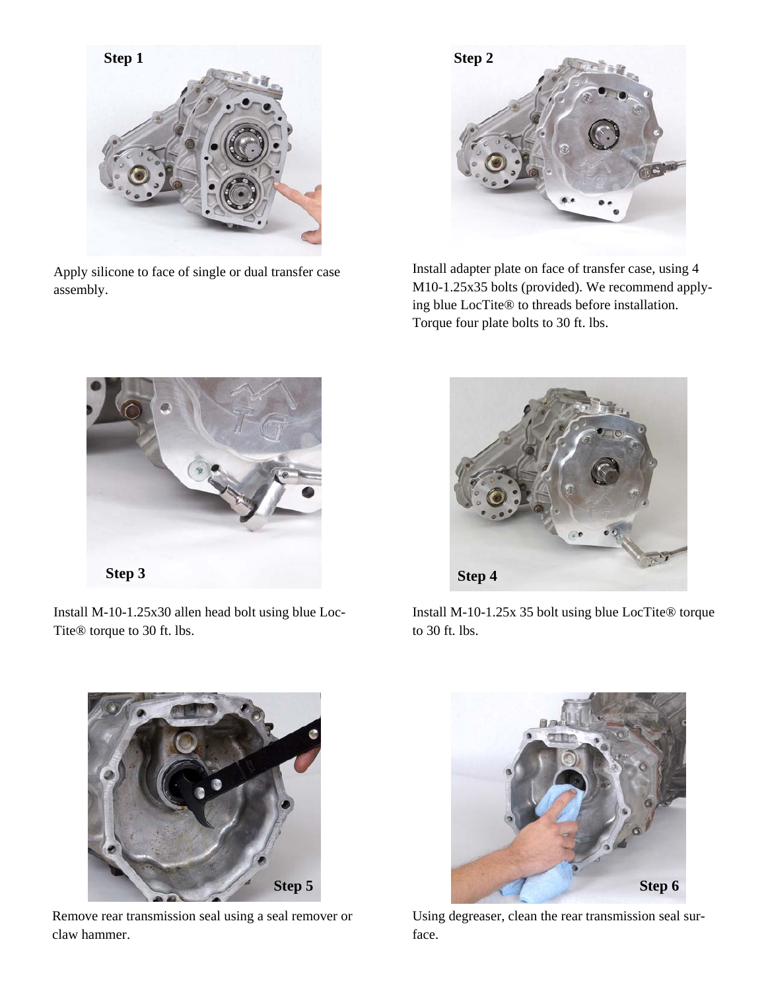

Apply silicone to face of single or dual transfer case assembly.



Install adapter plate on face of transfer case, using 4 M10-1.25x35 bolts (provided). We recommend applying blue LocTite® to threads before installation. Torque four plate bolts to 30 ft. lbs.



Install M-10-1.25x30 allen head bolt using blue Loc-Tite® torque to 30 ft. lbs.



Remove rear transmission seal using a seal remover or claw hammer.



Install M-10-1.25x 35 bolt using blue LocTite® torque to 30 ft. lbs.



Using degreaser, clean the rear transmission seal surface.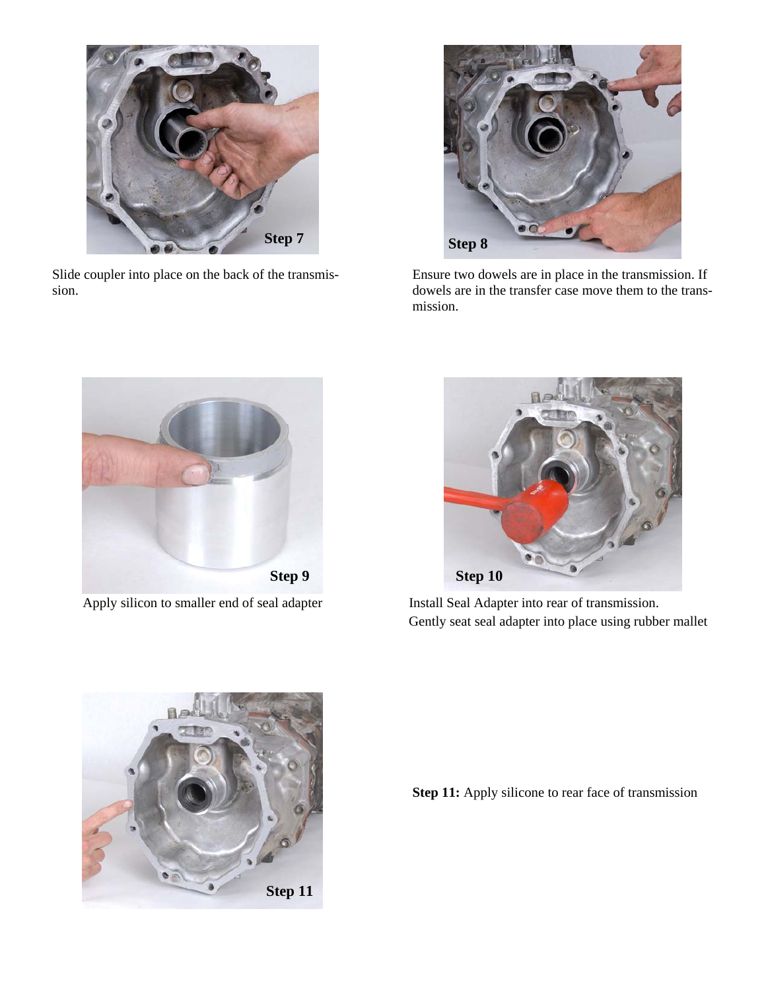

Slide coupler into place on the back of the transmission.



Ensure two dowels are in place in the transmission. If dowels are in the transfer case move them to the transmission.



Apply silicon to smaller end of seal adapter Install Seal Adapter into rear of transmission.



Gently seat seal adapter into place using rubber mallet



**Step 11:** Apply silicone to rear face of transmission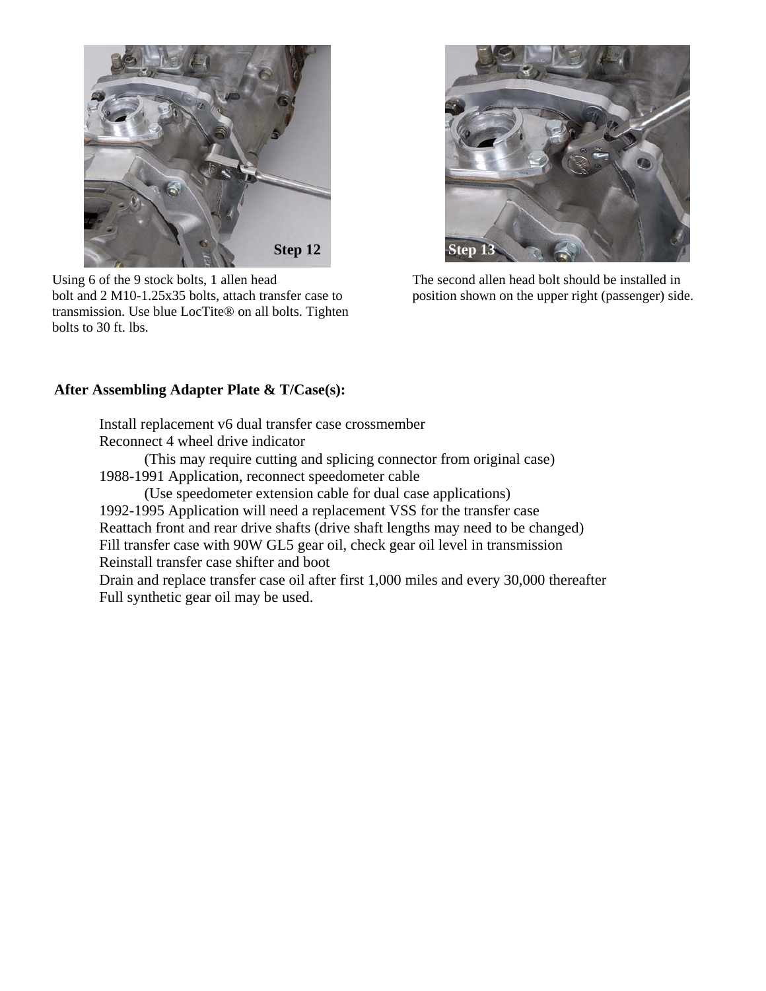

Using 6 of the 9 stock bolts, 1 allen head bolt and 2 M10-1.25x35 bolts, attach transfer case to transmission. Use blue LocTite® on all bolts. Tighten bolts to 30 ft. lbs.



The second allen head bolt should be installed in position shown on the upper right (passenger) side.

#### **After Assembling Adapter Plate & T/Case(s):**

 Install replacement v6 dual transfer case crossmember Reconnect 4 wheel drive indicator

 (This may require cutting and splicing connector from original case) 1988-1991 Application, reconnect speedometer cable

 (Use speedometer extension cable for dual case applications) 1992-1995 Application will need a replacement VSS for the transfer case Reattach front and rear drive shafts (drive shaft lengths may need to be changed) Fill transfer case with 90W GL5 gear oil, check gear oil level in transmission Reinstall transfer case shifter and boot Drain and replace transfer case oil after first 1,000 miles and every 30,000 thereafter

Full synthetic gear oil may be used.